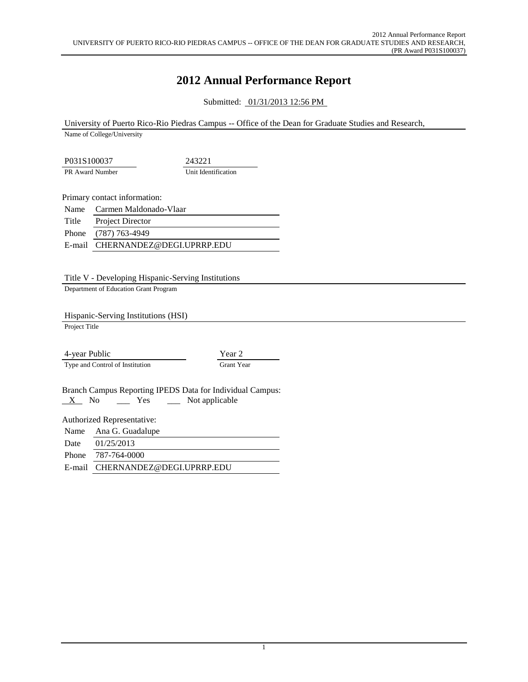## **2012 Annual Performance Report**

Submitted: 01/31/2013 12:56 PM

University of Puerto Rico-Rio Piedras Campus -- Office of the Dean for Graduate Studies and Research,

Name of College/University

P031S100037 243221 PR Award Number Unit Identification

Primary contact information:

Name Carmen Maldonado-Vlaar Title Project Director Phone (787) 763-4949 E-mail CHERNANDEZ@DEGI.UPRRP.EDU

Title V - Developing Hispanic-Serving Institutions

Department of Education Grant Program

Hispanic-Serving Institutions (HSI)

Project Title

4-year Public Year 2 Type and Control of Institution Grant Year

Branch Campus Reporting IPEDS Data for Individual Campus:  $X$  No  $\qquad$  Yes  $\qquad$  Not applicable

Authorized Representative:

| Name Ana G. Guadalupe            |
|----------------------------------|
| Date $01/25/2013$                |
| Phone 787-764-0000               |
| E-mail CHERNANDEZ@DEGI.UPRRP.EDU |
|                                  |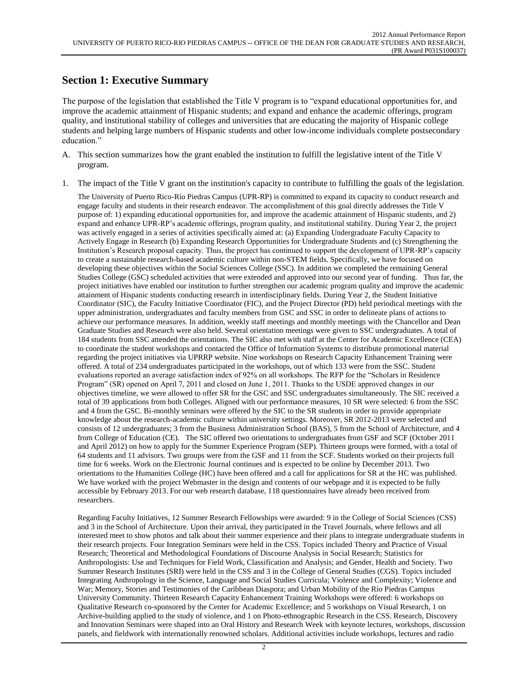### **Section 1: Executive Summary**

The purpose of the legislation that established the Title V program is to "expand educational opportunities for, and improve the academic attainment of Hispanic students; and expand and enhance the academic offerings, program quality, and institutional stability of colleges and universities that are educating the majority of Hispanic college students and helping large numbers of Hispanic students and other low-income individuals complete postsecondary education."

- A. This section summarizes how the grant enabled the institution to fulfill the legislative intent of the Title V program.
- 1. The impact of the Title V grant on the institution's capacity to contribute to fulfilling the goals of the legislation.

The University of Puerto Rico-Río Piedras Campus (UPR-RP) is committed to expand its capacity to conduct research and engage faculty and students in their research endeavor. The accomplishment of this goal directly addresses the Title V purpose of: 1) expanding educational opportunities for, and improve the academic attainment of Hispanic students, and 2) expand and enhance UPR-RP's academic offerings, program quality, and institutional stability. During Year 2, the project was actively engaged in a series of activities specifically aimed at: (a) Expanding Undergraduate Faculty Capacity to Actively Engage in Research (b) Expanding Research Opportunities for Undergraduate Students and (c) Strengthening the Institution's Research proposal capacity. Thus, the project has continued to support the development of UPR-RP's capacity to create a sustainable research-based academic culture within non-STEM fields. Specifically, we have focused on developing these objectives within the Social Sciences College (SSC). In addition we completed the remaining General Studies College (GSC) scheduled activities that were extended and approved into our second year of funding. Thus far, the project initiatives have enabled our institution to further strengthen our academic program quality and improve the academic attainment of Hispanic students conducting research in interdisciplinary fields. During Year 2, the Student Initiative Coordinator (SIC), the Faculty Initiative Coordinator (FIC), and the Project Director (PD) held periodical meetings with the upper administration, undergraduates and faculty members from GSC and SSC in order to delineate plans of actions to achieve our performance measures. In addition, weekly staff meetings and monthly meetings with the Chancellor and Dean Graduate Studies and Research were also held. Several orientation meetings were given to SSC undergraduates. A total of 184 students from SSC attended the orientations. The SIC also met with staff at the Center for Academic Excellence (CEA) to coordinate the student workshops and contacted the Office of Information Systems to distribute promotional material regarding the project initiatives via UPRRP website. Nine workshops on Research Capacity Enhancement Training were offered. A total of 234 undergraduates participated in the workshops, out of which 133 were from the SSC. Student evaluations reported an average satisfaction index of 92% on all workshops. The RFP for the "Scholars in Residence Program" (SR) opened on April 7, 2011 and closed on June 1, 2011. Thanks to the USDE approved changes in our objectives timeline, we were allowed to offer SR for the GSC and SSC undergraduates simultaneously. The SIC received a total of 39 applications from both Colleges. Aligned with our performance measures, 10 SR were selected: 6 from the SSC and 4 from the GSC. Bi-monthly seminars were offered by the SIC to the SR students in order to provide appropriate knowledge about the research-academic culture within university settings. Moreover, SR 2012-2013 were selected and consists of 12 undergraduates; 3 from the Business Administration School (BAS), 5 from the School of Architecture, and 4 from College of Education (CE). The SIC offered two orientations to undergraduates from GSF and SCF (October 2011 and April 2012) on how to apply for the Summer Experience Program (SEP). Thirteen groups were formed, with a total of 64 students and 11 advisors. Two groups were from the GSF and 11 from the SCF. Students worked on their projects full time for 6 weeks. Work on the Electronic Journal continues and is expected to be online by December 2013. Two orientations to the Humanities College (HC) have been offered and a call for applications for SR at the HC was published. We have worked with the project Webmaster in the design and contents of our webpage and it is expected to be fully accessible by February 2013. For our web research database, 118 questionnaires have already been received from researchers.

Regarding Faculty Initiatives, 12 Summer Research Fellowships were awarded: 9 in the College of Social Sciences (CSS) and 3 in the School of Architecture. Upon their arrival, they participated in the Travel Journals, where fellows and all interested meet to show photos and talk about their summer experience and their plans to integrate undergraduate students in their research projects. Four Integration Seminars were held in the CSS. Topics included Theory and Practice of Visual Research; Theoretical and Methodological Foundations of Discourse Analysis in Social Research; Statistics for Anthropologists: Use and Techniques for Field Work, Classification and Analysis; and Gender, Health and Society. Two Summer Research Institutes (SRI) were held in the CSS and 3 in the College of General Studies (CGS). Topics included Integrating Anthropology in the Science, Language and Social Studies Curricula; Violence and Complexity; Violence and War; Memory, Stories and Testimonies of the Caribbean Diaspora; and Urban Mobility of the Río Piedras Campus University Community. Thirteen Research Capacity Enhancement Training Workshops were offered: 6 workshops on Qualitative Research co-sponsored by the Center for Academic Excellence; and 5 workshops on Visual Research, 1 on Archive-building applied to the study of violence, and 1 on Photo-ethnographic Research in the CSS. Research, Discovery and Innovation Seminars were shaped into an Oral History and Research Week with keynote lectures, workshops, discussion panels, and fieldwork with internationally renowned scholars. Additional activities include workshops, lectures and radio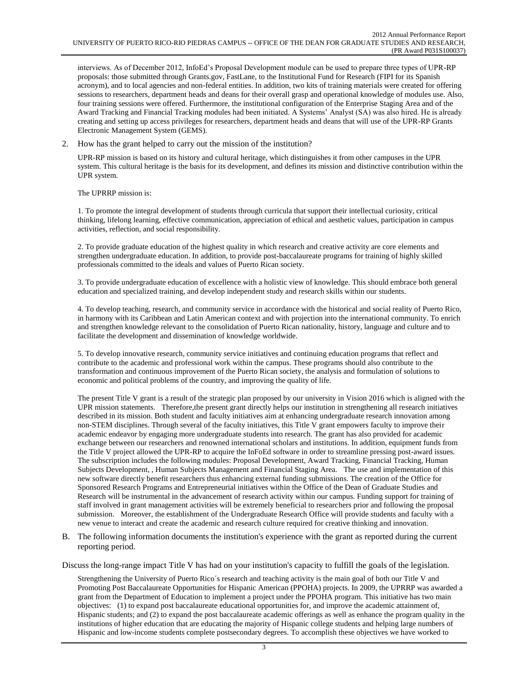interviews. As of December 2012, InfoEd's Proposal Development module can be used to prepare three types of UPR-RP proposals: those submitted through Grants.gov, FastLane, to the Institutional Fund for Research (FIPI for its Spanish acronym), and to local agencies and non-federal entities. In addition, two kits of training materials were created for offering sessions to researchers, department heads and deans for their overall grasp and operational knowledge of modules use. Also, four training sessions were offered. Furthermore, the institutional configuration of the Enterprise Staging Area and of the Award Tracking and Financial Tracking modules had been initiated. A Systems' Analyst (SA) was also hired. He is already creating and setting up access privileges for researchers, department heads and deans that will use of the UPR-RP Grants Electronic Management System (GEMS).

2. How has the grant helped to carry out the mission of the institution?

UPR-RP mission is based on its history and cultural heritage, which distinguishes it from other campuses in the UPR system. This cultural heritage is the basis for its development, and defines its mission and distinctive contribution within the UPR system.

The UPRRP mission is:

1. To promote the integral development of students through curricula that support their intellectual curiosity, critical thinking, lifelong learning, effective communication, appreciation of ethical and aesthetic values, participation in campus activities, reflection, and social responsibility.

2. To provide graduate education of the highest quality in which research and creative activity are core elements and strengthen undergraduate education. In addition, to provide post-baccalaureate programs for training of highly skilled professionals committed to the ideals and values of Puerto Rican society.

3. To provide undergraduate education of excellence with a holistic view of knowledge. This should embrace both general education and specialized training, and develop independent study and research skills within our students.

4. To develop teaching, research, and community service in accordance with the historical and social reality of Puerto Rico, in harmony with its Caribbean and Latin American context and with projection into the international community. To enrich and strengthen knowledge relevant to the consolidation of Puerto Rican nationality, history, language and culture and to facilitate the development and dissemination of knowledge worldwide.

5. To develop innovative research, community service initiatives and continuing education programs that reflect and contribute to the academic and professional work within the campus. These programs should also contribute to the transformation and continuous improvement of the Puerto Rican society, the analysis and formulation of solutions to economic and political problems of the country, and improving the quality of life.

The present Title V grant is a result of the strategic plan proposed by our university in Vision 2016 which is aligned with the UPR mission statements. Therefore,the present grant directly helps our institution in strengthening all research initiatives described in its mission. Both student and faculty initiatives aim at enhancing undergraduate research innovation among non-STEM disciplines. Through several of the faculty initiatives, this Title V grant empowers faculty to improve their academic endeavor by engaging more undergraduate students into research. The grant has also provided for academic exchange between our researchers and renowned international scholars and institutions. In addition, equipment funds from the Title V project allowed the UPR-RP to acquire the InFoEd software in order to streamline pressing post-award issues. The subscription includes the following modules: Proposal Development, Award Tracking, Financial Tracking, Human Subjects Development, , Human Subjects Management and Financial Staging Area. The use and implementation of this new software directly benefit researchers thus enhancing external funding submissions. The creation of the Office for Sponsored Research Programs and Entrepreneurial initiatives within the Office of the Dean of Graduate Studies and Research will be instrumental in the advancement of research activity within our campus. Funding support for training of staff involved in grant management activities will be extremely beneficial to researchers prior and following the proposal submission. Moreover, the establishment of the Undergraduate Research Office will provide students and faculty with a new venue to interact and create the academic and research culture required for creative thinking and innovation.

B. The following information documents the institution's experience with the grant as reported during the current reporting period.

Discuss the long-range impact Title V has had on your institution's capacity to fulfill the goals of the legislation.

Strengthening the University of Puerto Rico´s research and teaching activity is the main goal of both our Title V and Promoting Post Baccalaureate Opportunities for Hispanic American (PPOHA) projects. In 2009, the UPRRP was awarded a grant from the Department of Education to implement a project under the PPOHA program. This initiative has two main objectives: (1) to expand post baccalaureate educational opportunities for, and improve the academic attainment of, Hispanic students; and (2) to expand the post baccalaureate academic offerings as well as enhance the program quality in the institutions of higher education that are educating the majority of Hispanic college students and helping large numbers of Hispanic and low-income students complete postsecondary degrees. To accomplish these objectives we have worked to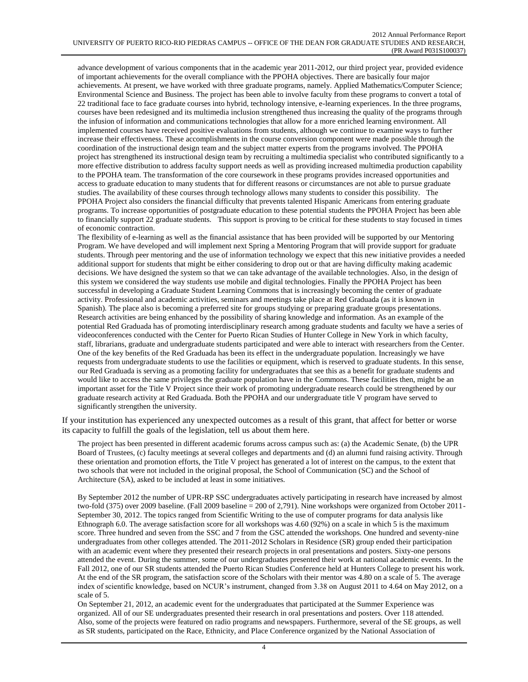advance development of various components that in the academic year 2011-2012, our third project year, provided evidence of important achievements for the overall compliance with the PPOHA objectives. There are basically four major achievements. At present, we have worked with three graduate programs, namely. Applied Mathematics/Computer Science; Environmental Science and Business. The project has been able to involve faculty from these programs to convert a total of 22 traditional face to face graduate courses into hybrid, technology intensive, e-learning experiences. In the three programs, courses have been redesigned and its multimedia inclusion strengthened thus increasing the quality of the programs through the infusion of information and communications technologies that allow for a more enriched learning environment. All implemented courses have received positive evaluations from students, although we continue to examine ways to further increase their effectiveness. These accomplishments in the course conversion component were made possible through the coordination of the instructional design team and the subject matter experts from the programs involved. The PPOHA project has strengthened its instructional design team by recruiting a multimedia specialist who contributed significantly to a more effective distribution to address faculty support needs as well as providing increased multimedia production capability to the PPOHA team. The transformation of the core coursework in these programs provides increased opportunities and access to graduate education to many students that for different reasons or circumstances are not able to pursue graduate studies. The availability of these courses through technology allows many students to consider this possibility. The PPOHA Project also considers the financial difficulty that prevents talented Hispanic Americans from entering graduate programs. To increase opportunities of postgraduate education to these potential students the PPOHA Project has been able to financially support 22 graduate students. This support is proving to be critical for these students to stay focused in times of economic contraction.

The flexibility of e-learning as well as the financial assistance that has been provided will be supported by our Mentoring Program. We have developed and will implement next Spring a Mentoring Program that will provide support for graduate students. Through peer mentoring and the use of information technology we expect that this new initiative provides a needed additional support for students that might be either considering to drop out or that are having difficulty making academic decisions. We have designed the system so that we can take advantage of the available technologies. Also, in the design of this system we considered the way students use mobile and digital technologies. Finally the PPOHA Project has been successful in developing a Graduate Student Learning Commons that is increasingly becoming the center of graduate activity. Professional and academic activities, seminars and meetings take place at Red Graduada (as it is known in Spanish). The place also is becoming a preferred site for groups studying or preparing graduate groups presentations. Research activities are being enhanced by the possibility of sharing knowledge and information. As an example of the potential Red Graduada has of promoting interdisciplinary research among graduate students and faculty we have a series of videoconferences conducted with the Center for Puerto Rican Studies of Hunter College in New York in which faculty, staff, librarians, graduate and undergraduate students participated and were able to interact with researchers from the Center. One of the key benefits of the Red Graduada has been its effect in the undergraduate population. Increasingly we have requests from undergraduate students to use the facilities or equipment, which is reserved to graduate students. In this sense, our Red Graduada is serving as a promoting facility for undergraduates that see this as a benefit for graduate students and would like to access the same privileges the graduate population have in the Commons. These facilities then, might be an important asset for the Title V Project since their work of promoting undergraduate research could be strengthened by our graduate research activity at Red Graduada. Both the PPOHA and our undergraduate title V program have served to significantly strengthen the university.

If your institution has experienced any unexpected outcomes as a result of this grant, that affect for better or worse its capacity to fulfill the goals of the legislation, tell us about them here.

The project has been presented in different academic forums across campus such as: (a) the Academic Senate, (b) the UPR Board of Trustees, (c) faculty meetings at several colleges and departments and (d) an alumni fund raising activity. Through these orientation and promotion efforts, the Title V project has generated a lot of interest on the campus, to the extent that two schools that were not included in the original proposal, the School of Communication (SC) and the School of Architecture (SA), asked to be included at least in some initiatives.

By September 2012 the number of UPR-RP SSC undergraduates actively participating in research have increased by almost two-fold (375) over 2009 baseline. (Fall 2009 baseline = 200 of 2,791). Nine workshops were organized from October 2011- September 30, 2012. The topics ranged from Scientific Writing to the use of computer programs for data analysis like Ethnograph 6.0. The average satisfaction score for all workshops was 4.60 (92%) on a scale in which 5 is the maximum score. Three hundred and seven from the SSC and 7 from the GSC attended the workshops. One hundred and seventy-nine undergraduates from other colleges attended. The 2011-2012 Scholars in Residence (SR) group ended their participation with an academic event where they presented their research projects in oral presentations and posters. Sixty-one persons attended the event. During the summer, some of our undergraduates presented their work at national academic events. In the Fall 2012, one of our SR students attended the Puerto Rican Studies Conference held at Hunters College to present his work. At the end of the SR program, the satisfaction score of the Scholars with their mentor was 4.80 on a scale of 5. The average index of scientific knowledge, based on NCUR's instrument, changed from 3.38 on August 2011 to 4.64 on May 2012, on a scale of 5.

On September 21, 2012, an academic event for the undergraduates that participated at the Summer Experience was organized. All of our SE undergraduates presented their research in oral presentations and posters. Over 118 attended. Also, some of the projects were featured on radio programs and newspapers. Furthermore, several of the SE groups, as well as SR students, participated on the Race, Ethnicity, and Place Conference organized by the National Association of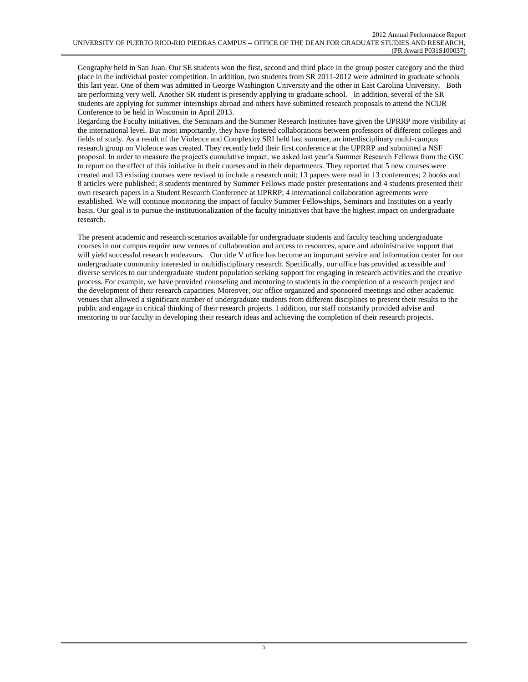Geography held in San Juan. Our SE students won the first, second and third place in the group poster category and the third place in the individual poster competition. In addition, two students from SR 2011-2012 were admitted in graduate schools this last year. One of them was admitted in George Washington University and the other in East Carolina University. Both are performing very well. Another SR student is presently applying to graduate school. In addition, several of the SR students are applying for summer internships abroad and others have submitted research proposals to attend the NCUR Conference to be held in Wisconsin in April 2013.

Regarding the Faculty initiatives, the Seminars and the Summer Research Institutes have given the UPRRP more visibility at the international level. But most importantly, they have fostered collaborations between professors of different colleges and fields of study. As a result of the Violence and Complexity SRI held last summer, an interdisciplinary multi-campus research group on Violence was created. They recently held their first conference at the UPRRP and submitted a NSF proposal. In order to measure the project's cumulative impact, we asked last year's Summer Research Fellows from the GSC to report on the effect of this initiative in their courses and in their departments. They reported that 5 new courses were created and 13 existing courses were revised to include a research unit; 13 papers were read in 13 conferences; 2 books and 8 articles were published; 8 students mentored by Summer Fellows made poster presentations and 4 students presented their own research papers in a Student Research Conference at UPRRP; 4 international collaboration agreements were established. We will continue monitoring the impact of faculty Summer Fellowships, Seminars and Institutes on a yearly basis. Our goal is to pursue the institutionalization of the faculty initiatives that have the highest impact on undergraduate research.

The present academic and research scenarios available for undergraduate students and faculty teaching undergraduate courses in our campus require new venues of collaboration and access to resources, space and administrative support that will yield successful research endeavors. Our title V office has become an important service and information center for our undergraduate community interested in multidisciplinary research. Specifically, our office has provided accessible and diverse services to our undergraduate student population seeking support for engaging in research activities and the creative process. For example, we have provided counseling and mentoring to students in the completion of a research project and the development of their research capacities. Moreover, our office organized and sponsored meetings and other academic venues that allowed a significant number of undergraduate students from different disciplines to present their results to the public and engage in critical thinking of their research projects. I addition, our staff constantly provided advise and mentoring to our faculty in developing their research ideas and achieving the completion of their research projects.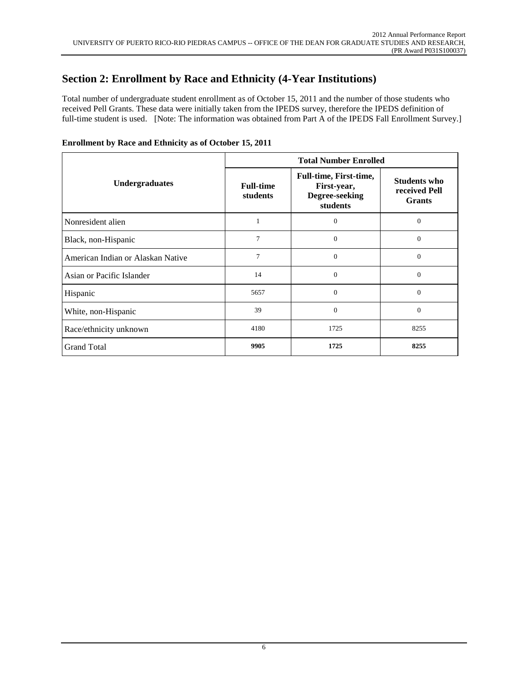# **Section 2: Enrollment by Race and Ethnicity (4-Year Institutions)**

Total number of undergraduate student enrollment as of October 15, 2011 and the number of those students who received Pell Grants. These data were initially taken from the IPEDS survey, therefore the IPEDS definition of full-time student is used. [Note: The information was obtained from Part A of the IPEDS Fall Enrollment Survey.]

|                                   | <b>Total Number Enrolled</b> |                                                                            |                                                       |  |  |
|-----------------------------------|------------------------------|----------------------------------------------------------------------------|-------------------------------------------------------|--|--|
| <b>Undergraduates</b>             | <b>Full-time</b><br>students | <b>Full-time, First-time,</b><br>First-year,<br>Degree-seeking<br>students | <b>Students who</b><br>received Pell<br><b>Grants</b> |  |  |
| Nonresident alien                 |                              | $\overline{0}$                                                             | $\mathbf{0}$                                          |  |  |
| Black, non-Hispanic               | 7                            | $\theta$                                                                   | $\Omega$                                              |  |  |
| American Indian or Alaskan Native | 7                            | $\theta$                                                                   | $\Omega$                                              |  |  |
| Asian or Pacific Islander         | 14                           | $\Omega$                                                                   | $\theta$                                              |  |  |
| Hispanic                          | 5657                         | $\overline{0}$                                                             | $\mathbf{0}$                                          |  |  |
| White, non-Hispanic               | 39                           | $\theta$                                                                   | $\Omega$                                              |  |  |
| Race/ethnicity unknown            | 4180                         | 1725                                                                       | 8255                                                  |  |  |
| <b>Grand Total</b>                | 9905                         | 1725                                                                       | 8255                                                  |  |  |

### **Enrollment by Race and Ethnicity as of October 15, 2011**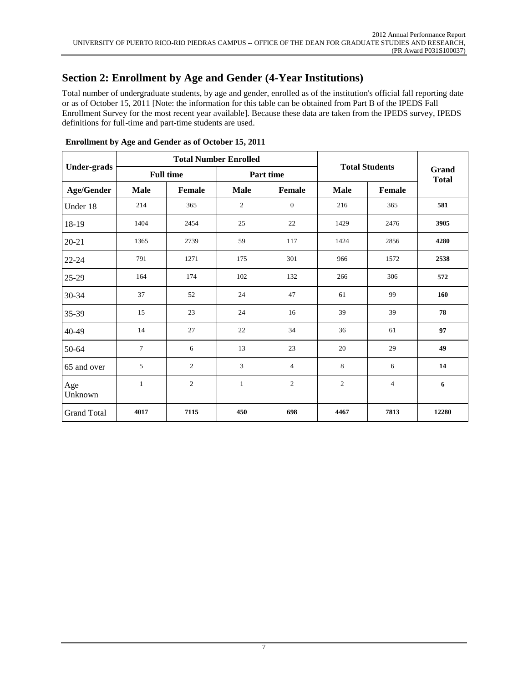# **Section 2: Enrollment by Age and Gender (4-Year Institutions)**

Total number of undergraduate students, by age and gender, enrolled as of the institution's official fall reporting date or as of October 15, 2011 [Note: the information for this table can be obtained from Part B of the IPEDS Fall Enrollment Survey for the most recent year available]. Because these data are taken from the IPEDS survey, IPEDS definitions for full-time and part-time students are used.

|                    |              |                  | <b>Total Number Enrolled</b> | <b>Total Students</b>    |                |                       |       |
|--------------------|--------------|------------------|------------------------------|--------------------------|----------------|-----------------------|-------|
| <b>Under-grads</b> |              | <b>Full time</b> |                              | Part time                |                | Grand<br><b>Total</b> |       |
| <b>Age/Gender</b>  | <b>Male</b>  | Female           | <b>Male</b>                  | <b>Female</b>            | <b>Male</b>    | Female                |       |
| Under 18           | 214          | 365              | $\overline{c}$               | $\mathbf{0}$             | 216            | 365                   | 581   |
| 18-19              | 1404         | 2454             | 25                           | 22                       | 1429           | 2476                  | 3905  |
| $20 - 21$          | 1365         | 2739             | 59                           | 117                      | 1424           | 2856                  | 4280  |
| $22 - 24$          | 791          | 1271             | 175                          | 301                      | 966            | 1572                  | 2538  |
| 25-29              | 164          | 174              | 102                          | 132                      | 266            | 306                   | 572   |
| 30-34              | 37           | 52               | 24                           | 47                       | 61             | 99                    | 160   |
| 35-39              | 15           | 23               | 24                           | 16                       | 39             | 39                    | 78    |
| 40-49              | 14           | 27               | 22                           | 34                       | 36             | 61                    | 97    |
| 50-64              | 7            | 6                | 13                           | 23                       | 20             | 29                    | 49    |
| 65 and over        | 5            | $\mathbf{2}$     | 3                            | $\overline{\mathcal{L}}$ | 8              | 6                     | 14    |
| Age<br>Unknown     | $\mathbf{1}$ | $\overline{c}$   | $\mathbf{1}$                 | $\boldsymbol{2}$         | $\overline{c}$ | $\overline{4}$        | 6     |
| <b>Grand Total</b> | 4017         | 7115             | 450                          | 698                      | 4467           | 7813                  | 12280 |

**Enrollment by Age and Gender as of October 15, 2011**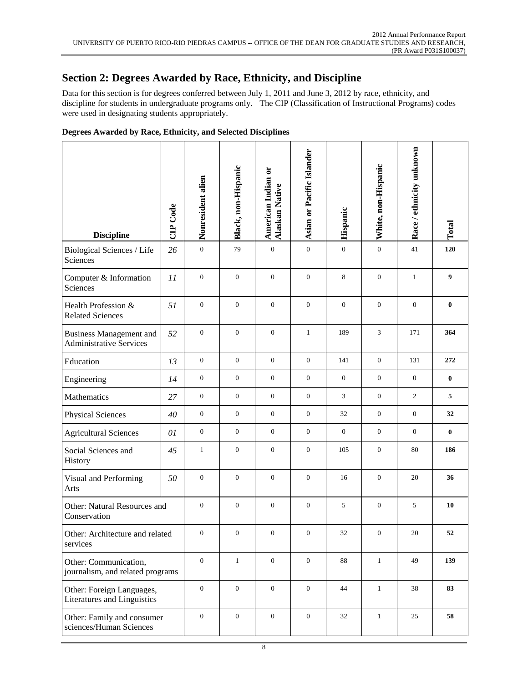## **Section 2: Degrees Awarded by Race, Ethnicity, and Discipline**

Data for this section is for degrees conferred between July 1, 2011 and June 3, 2012 by race, ethnicity, and discipline for students in undergraduate programs only. The CIP (Classification of Instructional Programs) codes were used in designating students appropriately.

| <b>Discipline</b>                                                | CIP Code | Nonresident alien | Black, non-Hispanic | American Indian or<br><b>Alaskan Native</b> | Asian or Pacific Islander | Hispanic       | White, non-Hispanic | Race / ethnicity unknown | Total    |
|------------------------------------------------------------------|----------|-------------------|---------------------|---------------------------------------------|---------------------------|----------------|---------------------|--------------------------|----------|
| Biological Sciences / Life<br>Sciences                           | 26       | $\mathbf{0}$      | 79                  | $\boldsymbol{0}$                            | $\boldsymbol{0}$          | $\mathbf{0}$   | $\boldsymbol{0}$    | 41                       | 120      |
| Computer & Information<br>Sciences                               | 11       | $\overline{0}$    | $\boldsymbol{0}$    | $\theta$                                    | $\mathbf{0}$              | 8              | $\mathbf{0}$        | $\mathbf{1}$             | 9        |
| Health Profession &<br><b>Related Sciences</b>                   | 51       | $\mathbf{0}$      | $\mathbf{0}$        | $\mathbf{0}$                                | $\boldsymbol{0}$          | $\mathbf{0}$   | $\mathbf{0}$        | $\boldsymbol{0}$         | $\bf{0}$ |
| <b>Business Management and</b><br><b>Administrative Services</b> | 52       | $\mathbf{0}$      | $\overline{0}$      | $\overline{0}$                              | $\mathbf{1}$              | 189            | $\mathfrak{Z}$      | 171                      | 364      |
| Education                                                        | 13       | $\mathbf{0}$      | $\boldsymbol{0}$    | $\mathbf{0}$                                | $\mathbf{0}$              | 141            | $\mathbf{0}$        | 131                      | 272      |
| Engineering                                                      | 14       | $\mathbf{0}$      | $\mathbf{0}$        | $\overline{0}$                              | $\boldsymbol{0}$          | $\overline{0}$ | $\mathbf{0}$        | $\mathbf{0}$             | $\bf{0}$ |
| Mathematics                                                      | 27       | $\theta$          | $\mathbf{0}$        | $\overline{0}$                              | $\mathbf{0}$              | 3              | $\mathbf{0}$        | $\overline{c}$           | 5        |
| <b>Physical Sciences</b>                                         | 40       | $\mathbf{0}$      | $\mathbf{0}$        | $\overline{0}$                              | $\overline{0}$            | 32             | $\mathbf{0}$        | $\overline{0}$           | 32       |
| <b>Agricultural Sciences</b>                                     | 01       | $\mathbf{0}$      | $\boldsymbol{0}$    | $\overline{0}$                              | $\overline{0}$            | $\overline{0}$ | $\mathbf{0}$        | $\overline{0}$           | $\bf{0}$ |
| Social Sciences and<br>History                                   | 45       | $\mathbf{1}$      | $\mathbf{0}$        | $\mathbf{0}$                                | $\boldsymbol{0}$          | 105            | $\boldsymbol{0}$    | 80                       | 186      |
| Visual and Performing<br>Arts                                    | 50       | $\boldsymbol{0}$  | $\boldsymbol{0}$    | $\mathbf{0}$                                | $\boldsymbol{0}$          | 16             | $\boldsymbol{0}$    | 20                       | 36       |
| Other: Natural Resources and<br>Conservation                     |          | $\mathbf{0}$      | $\mathbf{0}$        | $\mathbf{0}$                                | $\boldsymbol{0}$          | 5              | $\mathbf{0}$        | 5                        | 10       |
| Other: Architecture and related<br>services                      |          | $\mathbf{0}$      | $\boldsymbol{0}$    | $\boldsymbol{0}$                            | $\boldsymbol{0}$          | $32\,$         | $\mathbf{0}$        | $20\,$                   | 52       |
| Other: Communication,<br>journalism, and related programs        |          | $\overline{0}$    | $\mathbf{1}$        | $\overline{0}$                              | $\boldsymbol{0}$          | 88             | $1\,$               | 49                       | 139      |
| Other: Foreign Languages,<br>Literatures and Linguistics         |          | $\boldsymbol{0}$  | $\boldsymbol{0}$    | $\boldsymbol{0}$                            | $\boldsymbol{0}$          | 44             | $\mathbf{1}$        | 38                       | 83       |
| Other: Family and consumer<br>sciences/Human Sciences            |          | $\mathbf{0}$      | $\boldsymbol{0}$    | $\boldsymbol{0}$                            | $\boldsymbol{0}$          | 32             | $\mathbf{1}$        | 25                       | 58       |

### **Degrees Awarded by Race, Ethnicity, and Selected Disciplines**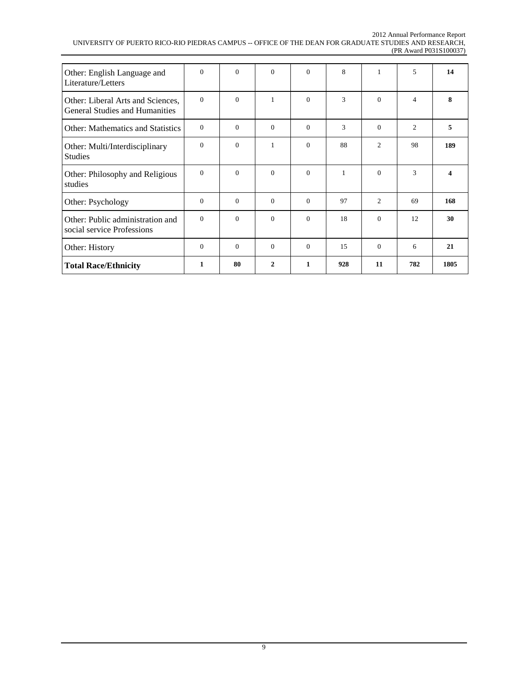#### 2012 Annual Performance Report UNIVERSITY OF PUERTO RICO-RIO PIEDRAS CAMPUS -- OFFICE OF THE DEAN FOR GRADUATE STUDIES AND RESEARCH, (PR Award P031S100037)

| Other: English Language and<br>Literature/Letters                          | $\Omega$ | $\theta$ | $\Omega$     | $\Omega$     | 8            | 1        | 5   | 14   |
|----------------------------------------------------------------------------|----------|----------|--------------|--------------|--------------|----------|-----|------|
| Other: Liberal Arts and Sciences,<br><b>General Studies and Humanities</b> | $\Omega$ | $\Omega$ | $\mathbf{1}$ | $\Omega$     | 3            | $\theta$ | 4   | 8    |
| <b>Other: Mathematics and Statistics</b>                                   | $\Omega$ | $\Omega$ | $\Omega$     | $\Omega$     | 3            | $\theta$ | 2   | 5    |
| Other: Multi/Interdisciplinary<br><b>Studies</b>                           | $\Omega$ | $\Omega$ | 1            | $\Omega$     | 88           | 2        | 98  | 189  |
| Other: Philosophy and Religious<br>studies                                 | $\Omega$ | $\Omega$ | $\Omega$     | $\Omega$     | $\mathbf{1}$ | $\theta$ | 3   | 4    |
| Other: Psychology                                                          | $\Omega$ | $\Omega$ | $\Omega$     | $\Omega$     | 97           | 2        | 69  | 168  |
| Other: Public administration and<br>social service Professions             | $\Omega$ | $\Omega$ | $\Omega$     | $\Omega$     | 18           | $\theta$ | 12  | 30   |
| Other: History                                                             | $\Omega$ | $\Omega$ | $\Omega$     | $\Omega$     | 15           | $\theta$ | 6   | 21   |
| <b>Total Race/Ethnicity</b>                                                | 1        | 80       | $\mathbf{2}$ | $\mathbf{1}$ | 928          | 11       | 782 | 1805 |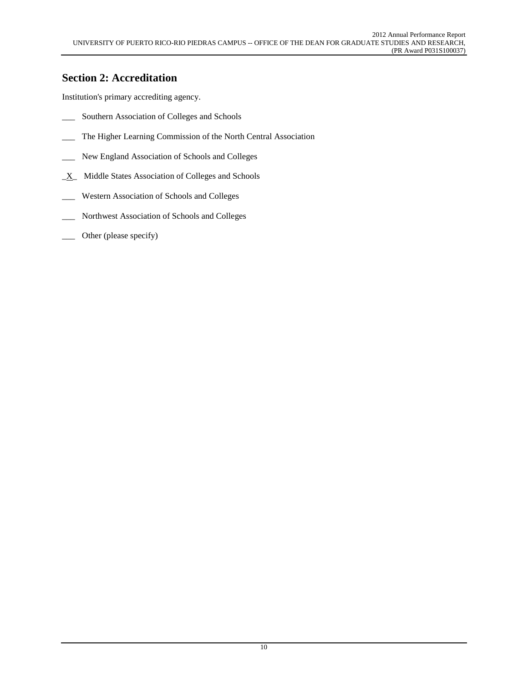## **Section 2: Accreditation**

Institution's primary accrediting agency.

- \_\_\_ Southern Association of Colleges and Schools
- \_\_\_ The Higher Learning Commission of the North Central Association
- \_\_\_ New England Association of Schools and Colleges
- $X$  Middle States Association of Colleges and Schools
- \_\_\_ Western Association of Schools and Colleges
- \_\_\_ Northwest Association of Schools and Colleges
- \_\_\_ Other (please specify)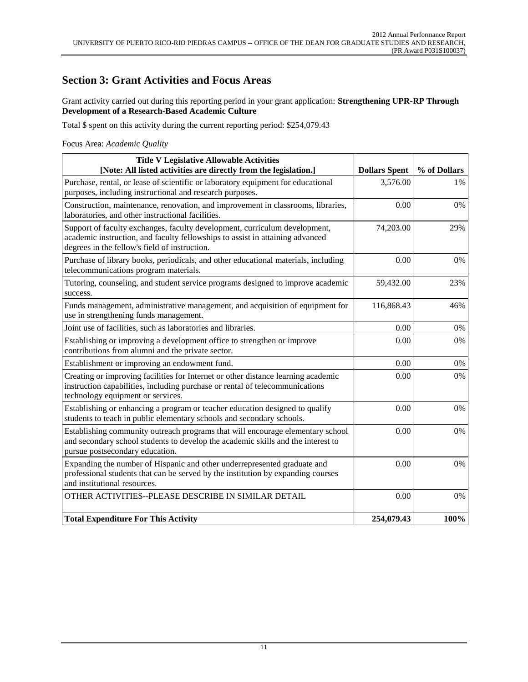### **Section 3: Grant Activities and Focus Areas**

Grant activity carried out during this reporting period in your grant application: **Strengthening UPR-RP Through Development of a Research-Based Academic Culture**

Total \$ spent on this activity during the current reporting period: \$254,079.43

Focus Area: *Academic Quality*

| <b>Title V Legislative Allowable Activities</b><br>[Note: All listed activities are directly from the legislation.]                                                                                          | <b>Dollars Spent</b> | % of Dollars |
|--------------------------------------------------------------------------------------------------------------------------------------------------------------------------------------------------------------|----------------------|--------------|
| Purchase, rental, or lease of scientific or laboratory equipment for educational<br>purposes, including instructional and research purposes.                                                                 | 3,576.00             | 1%           |
| Construction, maintenance, renovation, and improvement in classrooms, libraries,<br>laboratories, and other instructional facilities.                                                                        | 0.00                 | 0%           |
| Support of faculty exchanges, faculty development, curriculum development,<br>academic instruction, and faculty fellowships to assist in attaining advanced<br>degrees in the fellow's field of instruction. | 74,203.00            | 29%          |
| Purchase of library books, periodicals, and other educational materials, including<br>telecommunications program materials.                                                                                  | 0.00                 | 0%           |
| Tutoring, counseling, and student service programs designed to improve academic<br>success.                                                                                                                  | 59,432.00            | 23%          |
| Funds management, administrative management, and acquisition of equipment for<br>use in strengthening funds management.                                                                                      | 116,868.43           | 46%          |
| Joint use of facilities, such as laboratories and libraries.                                                                                                                                                 | 0.00                 | 0%           |
| Establishing or improving a development office to strengthen or improve<br>contributions from alumni and the private sector.                                                                                 | 0.00                 | 0%           |
| Establishment or improving an endowment fund.                                                                                                                                                                | 0.00                 | 0%           |
| Creating or improving facilities for Internet or other distance learning academic<br>instruction capabilities, including purchase or rental of telecommunications<br>technology equipment or services.       | 0.00                 | 0%           |
| Establishing or enhancing a program or teacher education designed to qualify<br>students to teach in public elementary schools and secondary schools.                                                        | 0.00                 | 0%           |
| Establishing community outreach programs that will encourage elementary school<br>and secondary school students to develop the academic skills and the interest to<br>pursue postsecondary education.        | 0.00                 | 0%           |
| Expanding the number of Hispanic and other underrepresented graduate and<br>professional students that can be served by the institution by expanding courses<br>and institutional resources.                 | 0.00                 | 0%           |
| OTHER ACTIVITIES--PLEASE DESCRIBE IN SIMILAR DETAIL                                                                                                                                                          | 0.00                 | 0%           |
| <b>Total Expenditure For This Activity</b>                                                                                                                                                                   | 254,079.43           | 100%         |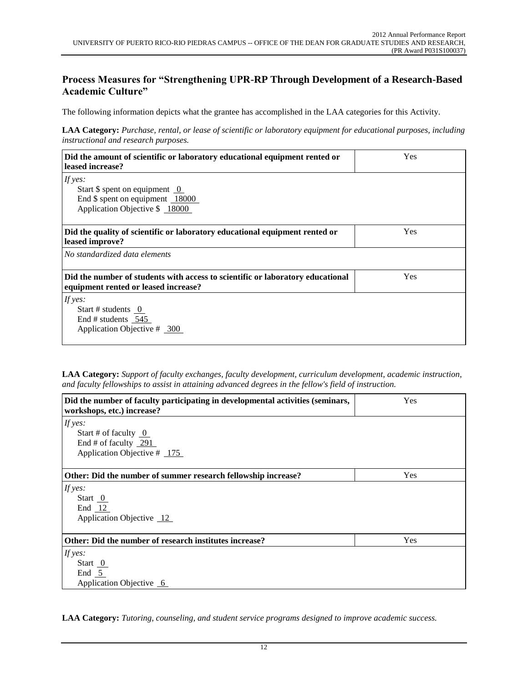### **Process Measures for "Strengthening UPR-RP Through Development of a Research-Based Academic Culture"**

The following information depicts what the grantee has accomplished in the LAA categories for this Activity.

**LAA Category:** *Purchase, rental, or lease of scientific or laboratory equipment for educational purposes, including instructional and research purposes.*

| Did the amount of scientific or laboratory educational equipment rented or<br>leased increase? | Yes |  |  |  |
|------------------------------------------------------------------------------------------------|-----|--|--|--|
| If yes:                                                                                        |     |  |  |  |
| Start $\frac{1}{2}$ spent on equipment 0                                                       |     |  |  |  |
| End \$ spent on equipment 18000                                                                |     |  |  |  |
| Application Objective \$ 18000                                                                 |     |  |  |  |
|                                                                                                |     |  |  |  |
| Did the quality of scientific or laboratory educational equipment rented or<br>leased improve? | Yes |  |  |  |
| No standardized data elements                                                                  |     |  |  |  |
| Yes<br>Did the number of students with access to scientific or laboratory educational          |     |  |  |  |
| equipment rented or leased increase?                                                           |     |  |  |  |
| If yes:                                                                                        |     |  |  |  |
| Start # students $\overline{0}$                                                                |     |  |  |  |
| End # students 545                                                                             |     |  |  |  |
| Application Objective $\#$ 300                                                                 |     |  |  |  |
|                                                                                                |     |  |  |  |

**LAA Category:** *Support of faculty exchanges, faculty development, curriculum development, academic instruction, and faculty fellowships to assist in attaining advanced degrees in the fellow's field of instruction.*

| Did the number of faculty participating in developmental activities (seminars,<br>workshops, etc.) increase? | Yes        |
|--------------------------------------------------------------------------------------------------------------|------------|
| If yes:                                                                                                      |            |
| Start # of faculty $\overline{0}$                                                                            |            |
| End # of faculty $291$                                                                                       |            |
| Application Objective $\#$ 175                                                                               |            |
|                                                                                                              |            |
| Other: Did the number of summer research fellowship increase?                                                | Yes        |
| If yes:                                                                                                      |            |
| Start $\overline{0}$                                                                                         |            |
| End $12$                                                                                                     |            |
| Application Objective 12                                                                                     |            |
|                                                                                                              |            |
| Other: Did the number of research institutes increase?                                                       | <b>Yes</b> |
| If yes:                                                                                                      |            |
| Start $\overline{0}$                                                                                         |            |
| End $5$                                                                                                      |            |
| Application Objective 6                                                                                      |            |

**LAA Category:** *Tutoring, counseling, and student service programs designed to improve academic success.*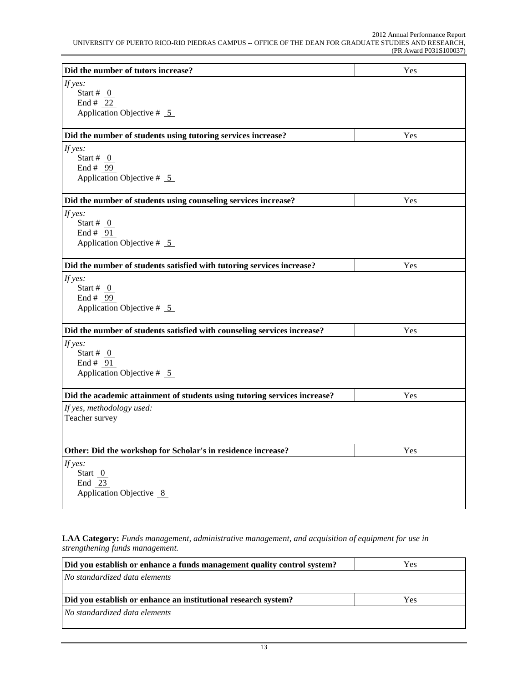| Did the number of tutors increase?                                        | Yes |
|---------------------------------------------------------------------------|-----|
| If yes:                                                                   |     |
| Start # $_0$                                                              |     |
| End # $22$                                                                |     |
| Application Objective $# 5$                                               |     |
| Did the number of students using tutoring services increase?              | Yes |
| If yes:                                                                   |     |
| Start # $_0$                                                              |     |
| End # $99$                                                                |     |
| Application Objective $# 5$                                               |     |
| Did the number of students using counseling services increase?            | Yes |
| If yes:                                                                   |     |
| Start # $_0$                                                              |     |
| End # $91$                                                                |     |
| Application Objective $# 5$                                               |     |
| Did the number of students satisfied with tutoring services increase?     | Yes |
| If yes:                                                                   |     |
| Start # $_0$                                                              |     |
| End # $99$                                                                |     |
| Application Objective $# 5$                                               |     |
| Did the number of students satisfied with counseling services increase?   | Yes |
| If yes:                                                                   |     |
| Start # $\theta$                                                          |     |
| End # $91$                                                                |     |
| Application Objective $# 5$                                               |     |
|                                                                           |     |
| Did the academic attainment of students using tutoring services increase? | Yes |
| If yes, methodology used:                                                 |     |
| Teacher survey                                                            |     |
|                                                                           |     |
| Other: Did the workshop for Scholar's in residence increase?              | Yes |
| If yes:                                                                   |     |
| Start $0$                                                                 |     |
| End $23$                                                                  |     |
| Application Objective 8                                                   |     |
|                                                                           |     |

**LAA Category:** *Funds management, administrative management, and acquisition of equipment for use in strengthening funds management.*

| Did you establish or enhance a funds management quality control system? | Yes |  |  |  |
|-------------------------------------------------------------------------|-----|--|--|--|
| No standardized data elements                                           |     |  |  |  |
|                                                                         |     |  |  |  |
| Did you establish or enhance an institutional research system?          | Yes |  |  |  |
| No standardized data elements                                           |     |  |  |  |
|                                                                         |     |  |  |  |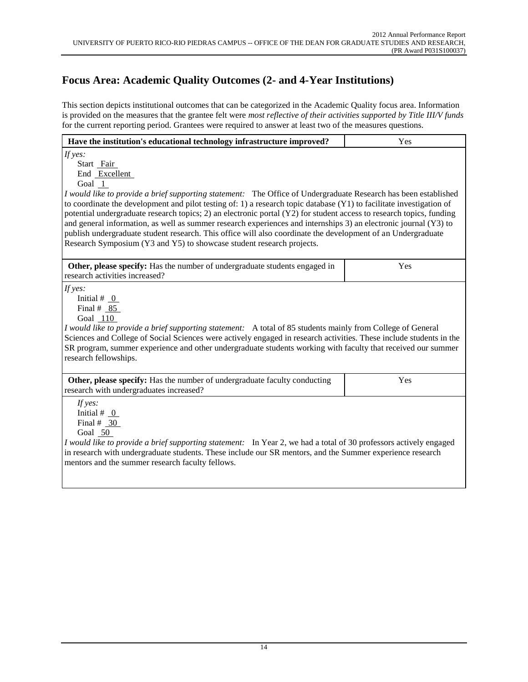# **Focus Area: Academic Quality Outcomes (2- and 4-Year Institutions)**

This section depicts institutional outcomes that can be categorized in the Academic Quality focus area. Information is provided on the measures that the grantee felt were *most reflective of their activities supported by Title III/V funds* for the current reporting period. Grantees were required to answer at least two of the measures questions.

| Have the institution's educational technology infrastructure improved?                                                                                                                                                                                                                                                                                                                                                                                                                                                                                                                                                                                                                                                               | Yes |  |  |  |
|--------------------------------------------------------------------------------------------------------------------------------------------------------------------------------------------------------------------------------------------------------------------------------------------------------------------------------------------------------------------------------------------------------------------------------------------------------------------------------------------------------------------------------------------------------------------------------------------------------------------------------------------------------------------------------------------------------------------------------------|-----|--|--|--|
| If $yes:$<br>Start Fair<br>End Excellent<br>Goal 1<br>I would like to provide a brief supporting statement: The Office of Undergraduate Research has been established<br>to coordinate the development and pilot testing of: 1) a research topic database $(Y1)$ to facilitate investigation of<br>potential undergraduate research topics; 2) an electronic portal (Y2) for student access to research topics, funding<br>and general information, as well as summer research experiences and internships 3) an electronic journal (Y3) to<br>publish undergraduate student research. This office will also coordinate the development of an Undergraduate<br>Research Symposium (Y3 and Y5) to showcase student research projects. |     |  |  |  |
| Other, please specify: Has the number of undergraduate students engaged in<br>research activities increased?                                                                                                                                                                                                                                                                                                                                                                                                                                                                                                                                                                                                                         | Yes |  |  |  |
| If $yes:$<br>Initial # $_0$<br>Final $#85$<br>Goal 110<br>I would like to provide a brief supporting statement: A total of 85 students mainly from College of General<br>Sciences and College of Social Sciences were actively engaged in research activities. These include students in the<br>SR program, summer experience and other undergraduate students working with faculty that received our summer<br>research fellowships.                                                                                                                                                                                                                                                                                                |     |  |  |  |
| Other, please specify: Has the number of undergraduate faculty conducting<br>research with undergraduates increased?                                                                                                                                                                                                                                                                                                                                                                                                                                                                                                                                                                                                                 | Yes |  |  |  |
| If yes:<br>Initial # $_0$<br>Final # $30$<br>Goal 50<br>I would like to provide a brief supporting statement: In Year 2, we had a total of 30 professors actively engaged<br>in research with undergraduate students. These include our SR mentors, and the Summer experience research<br>mentors and the summer research faculty fellows.                                                                                                                                                                                                                                                                                                                                                                                           |     |  |  |  |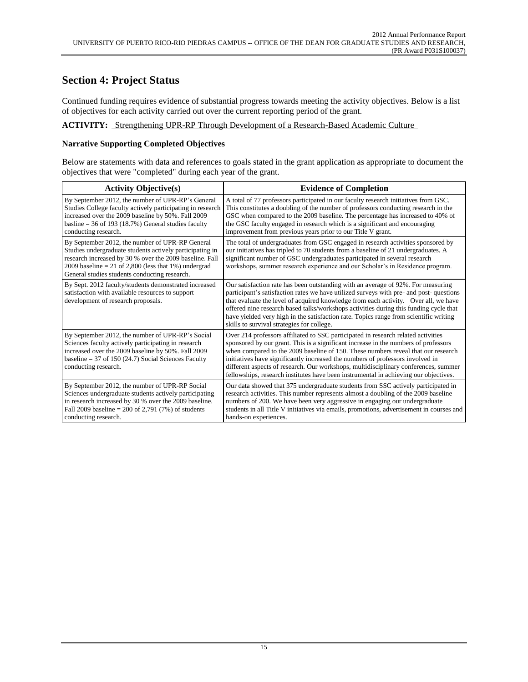### **Section 4: Project Status**

Continued funding requires evidence of substantial progress towards meeting the activity objectives. Below is a list of objectives for each activity carried out over the current reporting period of the grant.

#### **ACTIVITY:** Strengthening UPR-RP Through Development of a Research-Based Academic Culture

#### **Narrative Supporting Completed Objectives**

Below are statements with data and references to goals stated in the grant application as appropriate to document the objectives that were "completed" during each year of the grant.

| <b>Activity Objective(s)</b>                                                                                                                                                                                                                                                        | <b>Evidence of Completion</b>                                                                                                                                                                                                                                                                                                                                                                                                                                                                                                  |
|-------------------------------------------------------------------------------------------------------------------------------------------------------------------------------------------------------------------------------------------------------------------------------------|--------------------------------------------------------------------------------------------------------------------------------------------------------------------------------------------------------------------------------------------------------------------------------------------------------------------------------------------------------------------------------------------------------------------------------------------------------------------------------------------------------------------------------|
| By September 2012, the number of UPR-RP's General<br>Studies College faculty actively participating in research<br>increased over the 2009 baseline by 50%. Fall 2009<br>basline = $36$ of 193 (18.7%) General studies faculty<br>conducting research.                              | A total of 77 professors participated in our faculty research initiatives from GSC.<br>This constitutes a doubling of the number of professors conducting research in the<br>GSC when compared to the 2009 baseline. The percentage has increased to 40% of<br>the GSC faculty engaged in research which is a significant and encouraging<br>improvement from previous years prior to our Title V grant.                                                                                                                       |
| By September 2012, the number of UPR-RP General<br>Studies undergraduate students actively participating in<br>research increased by 30 % over the 2009 baseline. Fall<br>2009 baseline = 21 of 2,800 (less that $1\%$ ) undergrad<br>General studies students conducting research. | The total of undergraduates from GSC engaged in research activities sponsored by<br>our initiatives has tripled to 70 students from a baseline of 21 undergraduates. A<br>significant number of GSC undergraduates participated in several research<br>workshops, summer research experience and our Scholar's in Residence program.                                                                                                                                                                                           |
| By Sept. 2012 faculty/students demonstrated increased<br>satisfaction with available resources to support<br>development of research proposals.                                                                                                                                     | Our satisfaction rate has been outstanding with an average of 92%. For measuring<br>participant's satisfaction rates we have utilized surveys with pre- and post-questions<br>that evaluate the level of acquired knowledge from each activity. Over all, we have<br>offered nine research based talks/workshops activities during this funding cycle that<br>have yielded very high in the satisfaction rate. Topics range from scientific writing<br>skills to survival strategies for college.                              |
| By September 2012, the number of UPR-RP's Social<br>Sciences faculty actively participating in research<br>increased over the 2009 baseline by 50%. Fall 2009<br>baseline = $37$ of 150 (24.7) Social Sciences Faculty<br>conducting research.                                      | Over 214 professors affiliated to SSC participated in research related activities<br>sponsored by our grant. This is a significant increase in the numbers of professors<br>when compared to the 2009 baseline of 150. These numbers reveal that our research<br>initiatives have significantly increased the numbers of professors involved in<br>different aspects of research. Our workshops, multidisciplinary conferences, summer<br>fellowships, research institutes have been instrumental in achieving our objectives. |
| By September 2012, the number of UPR-RP Social<br>Sciences undergraduate students actively participating<br>in research increased by 30 % over the 2009 baseline.<br>Fall 2009 baseline = 200 of 2,791 (7%) of students<br>conducting research.                                     | Our data showed that 375 undergraduate students from SSC actively participated in<br>research activities. This number represents almost a doubling of the 2009 baseline<br>numbers of 200. We have been very aggressive in engaging our undergraduate<br>students in all Title V initiatives via emails, promotions, advertisement in courses and<br>hands-on experiences.                                                                                                                                                     |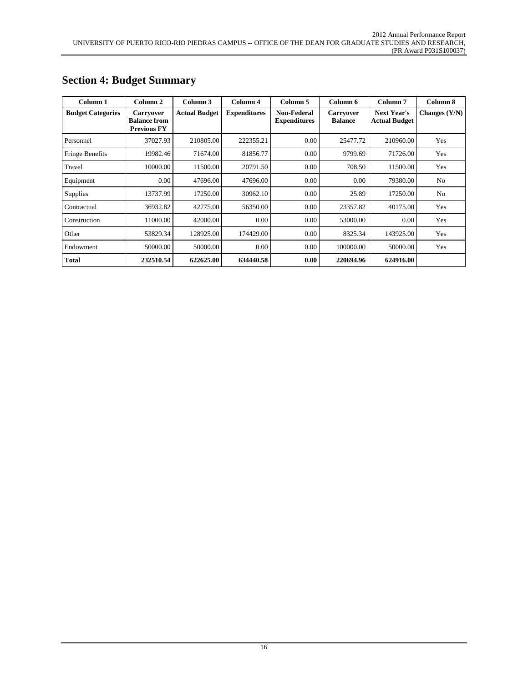| Column 1                 | Column 2                                                      | Column 3             | Column 4            | Column 5                           | Column 6                           | Column <sub>7</sub>                        | Column 8        |
|--------------------------|---------------------------------------------------------------|----------------------|---------------------|------------------------------------|------------------------------------|--------------------------------------------|-----------------|
| <b>Budget Categories</b> | <b>Carryover</b><br><b>Balance from</b><br><b>Previous FY</b> | <b>Actual Budget</b> | <b>Expenditures</b> | Non-Federal<br><b>Expenditures</b> | <b>Carryover</b><br><b>Balance</b> | <b>Next Year's</b><br><b>Actual Budget</b> | Changes $(Y/N)$ |
| Personnel                | 37027.93                                                      | 210805.00            | 222355.21           | 0.00                               | 25477.72                           | 210960.00                                  | Yes             |
| Fringe Benefits          | 19982.46                                                      | 71674.00             | 81856.77            | 0.00                               | 9799.69                            | 71726.00                                   | Yes             |
| Travel                   | 10000.00                                                      | 11500.00             | 20791.50            | 0.00                               | 708.50                             | 11500.00                                   | Yes             |
| Equipment                | 0.00                                                          | 47696.00             | 47696.00            | 0.00                               | 0.00                               | 79380.00                                   | N <sub>o</sub>  |
| <b>Supplies</b>          | 13737.99                                                      | 17250.00             | 30962.10            | 0.00                               | 25.89                              | 17250.00                                   | N <sub>o</sub>  |
| Contractual              | 36932.82                                                      | 42775.00             | 56350.00            | 0.00                               | 23357.82                           | 40175.00                                   | Yes             |
| Construction             | 11000.00                                                      | 42000.00             | 0.00                | 0.00                               | 53000.00                           | 0.00                                       | Yes             |
| Other                    | 53829.34                                                      | 128925.00            | 174429.00           | 0.00                               | 8325.34                            | 143925.00                                  | Yes             |
| Endowment                | 50000.00                                                      | 50000.00             | 0.00                | 0.00                               | 100000.00                          | 50000.00                                   | Yes             |
| <b>Total</b>             | 232510.54                                                     | 622625.00            | 634440.58           | 0.00                               | 220694.96                          | 624916.00                                  |                 |

# **Section 4: Budget Summary**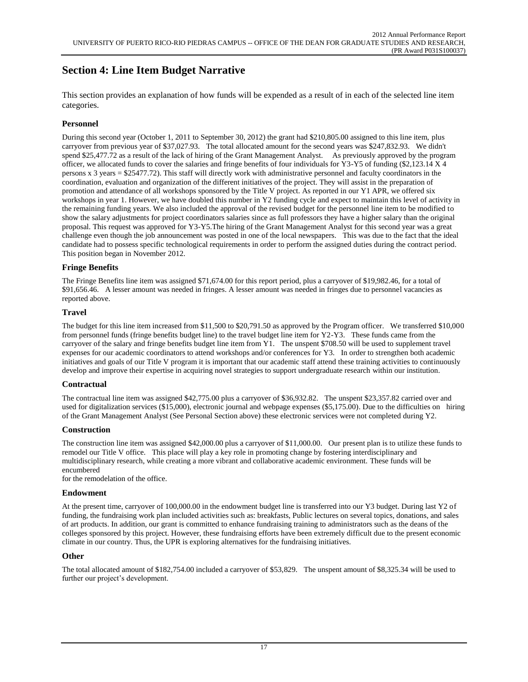# **Section 4: Line Item Budget Narrative**

This section provides an explanation of how funds will be expended as a result of in each of the selected line item categories.

#### **Personnel**

During this second year (October 1, 2011 to September 30, 2012) the grant had \$210,805.00 assigned to this line item, plus carryover from previous year of \$37,027.93. The total allocated amount for the second years was \$247,832.93. We didn't spend \$25,477.72 as a result of the lack of hiring of the Grant Management Analyst. As previously approved by the program officer, we allocated funds to cover the salaries and fringe benefits of four individuals for Y3-Y5 of funding (\$2,123.14 X 4 persons x 3 years = \$25477.72). This staff will directly work with administrative personnel and faculty coordinators in the coordination, evaluation and organization of the different initiatives of the project. They will assist in the preparation of promotion and attendance of all workshops sponsored by the Title V project. As reported in our Y1 APR, we offered six workshops in year 1. However, we have doubled this number in Y2 funding cycle and expect to maintain this level of activity in the remaining funding years. We also included the approval of the revised budget for the personnel line item to be modified to show the salary adjustments for project coordinators salaries since as full professors they have a higher salary than the original proposal. This request was approved for Y3-Y5.The hiring of the Grant Management Analyst for this second year was a great challenge even though the job announcement was posted in one of the local newspapers. This was due to the fact that the ideal candidate had to possess specific technological requirements in order to perform the assigned duties during the contract period. This position began in November 2012.

#### **Fringe Benefits**

The Fringe Benefits line item was assigned \$71,674.00 for this report period, plus a carryover of \$19,982.46, for a total of \$91,656.46. A lesser amount was needed in fringes. A lesser amount was needed in fringes due to personnel vacancies as reported above.

#### **Travel**

The budget for this line item increased from \$11,500 to \$20,791.50 as approved by the Program officer. We transferred \$10,000 from personnel funds (fringe benefits budget line) to the travel budget line item for Y2-Y3. These funds came from the carryover of the salary and fringe benefits budget line item from Y1. The unspent \$708.50 will be used to supplement travel expenses for our academic coordinators to attend workshops and/or conferences for Y3. In order to strengthen both academic initiatives and goals of our Title V program it is important that our academic staff attend these training activities to continuously develop and improve their expertise in acquiring novel strategies to support undergraduate research within our institution.

#### **Contractual**

The contractual line item was assigned \$42,775.00 plus a carryover of \$36,932.82. The unspent \$23,357.82 carried over and used for digitalization services (\$15,000), electronic journal and webpage expenses (\$5,175.00). Due to the difficulties on hiring of the Grant Management Analyst (See Personal Section above) these electronic services were not completed during Y2.

#### **Construction**

The construction line item was assigned \$42,000.00 plus a carryover of \$11,000.00. Our present plan is to utilize these funds to remodel our Title V office. This place will play a key role in promoting change by fostering interdisciplinary and multidisciplinary research, while creating a more vibrant and collaborative academic environment. These funds will be encumbered

for the remodelation of the office.

#### **Endowment**

At the present time, carryover of 100,000.00 in the endowment budget line is transferred into our Y3 budget. During last Y2 of funding, the fundraising work plan included activities such as: breakfasts, Public lectures on several topics, donations, and sales of art products. In addition, our grant is committed to enhance fundraising training to administrators such as the deans of the colleges sponsored by this project. However, these fundraising efforts have been extremely difficult due to the present economic climate in our country. Thus, the UPR is exploring alternatives for the fundraising initiatives.

#### **Other**

The total allocated amount of \$182,754.00 included a carryover of \$53,829. The unspent amount of \$8,325.34 will be used to further our project's development.